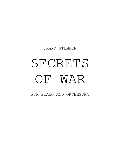FRANK STEMPER

## SECRETS OF WAR

FOR PIANO AND ORCHESTRA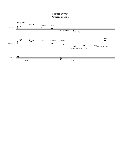## Percussion Set-up Secrets of War

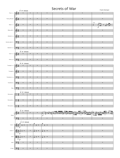## Secrets of War

Frank Stemper

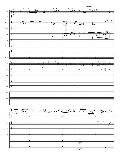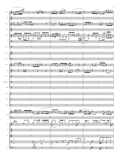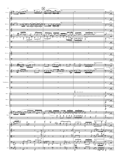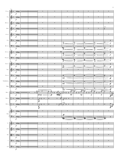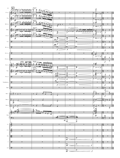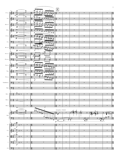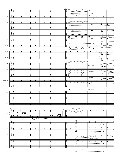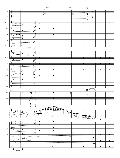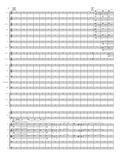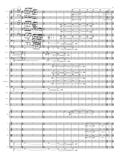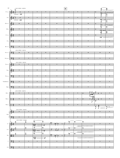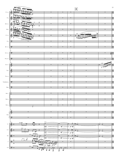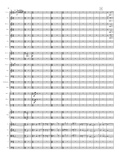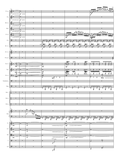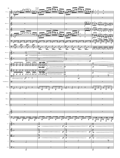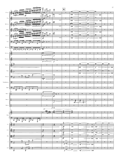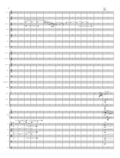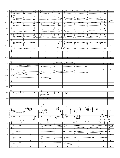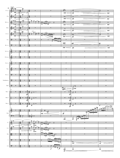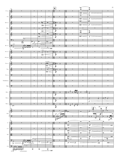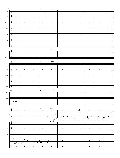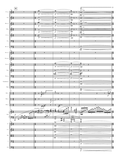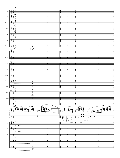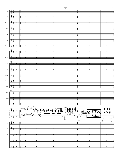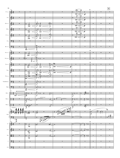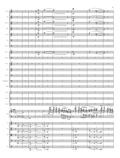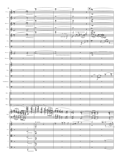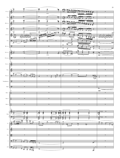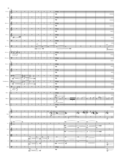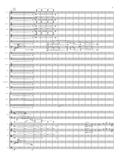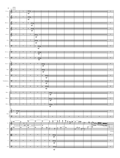

 $\it mf$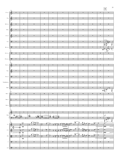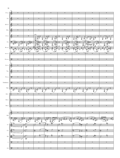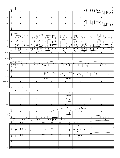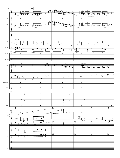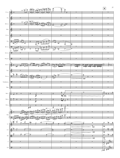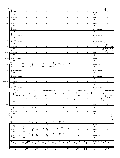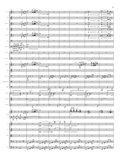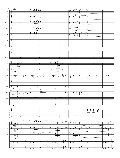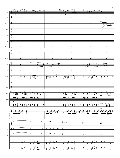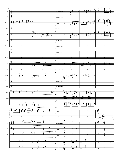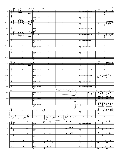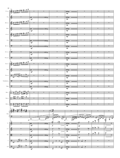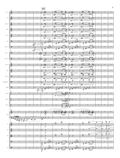